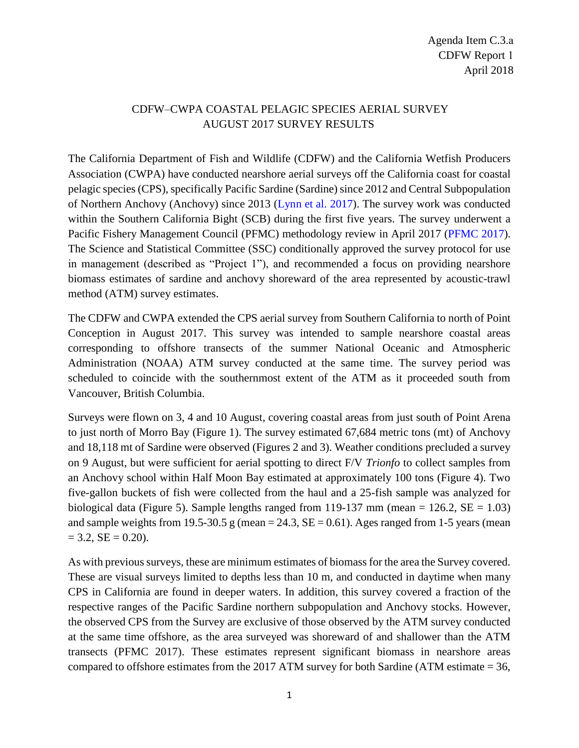## CDFW–CWPA COASTAL PELAGIC SPECIES AERIAL SURVEY AUGUST 2017 SURVEY RESULTS

The California Department of Fish and Wildlife (CDFW) and the California Wetfish Producers Association (CWPA) have conducted nearshore aerial surveys off the California coast for coastal pelagic species (CPS), specifically Pacific Sardine (Sardine) since 2012 and Central Subpopulation of Northern Anchovy (Anchovy) since 2013 [\(Lynn et al.](http://www.pcouncil.org/wp-content/uploads/2017/05/D2a_CDFW_Rpt_Jun2017BB.pdf) 2017). The survey work was conducted within the Southern California Bight (SCB) during the first five years. The survey underwent a Pacific Fishery Management Council (PFMC) methodology review in April 2017 [\(PFMC 2017\)](http://www.pcouncil.org/wp-content/uploads/2017/05/D2_Att1_Meth_Review_Panel_Rpt_Jun2017BB.pdf). The Science and Statistical Committee (SSC) conditionally approved the survey protocol for use in management (described as "Project 1"), and recommended a focus on providing nearshore biomass estimates of sardine and anchovy shoreward of the area represented by acoustic-trawl method (ATM) survey estimates.

The CDFW and CWPA extended the CPS aerial survey from Southern California to north of Point Conception in August 2017. This survey was intended to sample nearshore coastal areas corresponding to offshore transects of the summer National Oceanic and Atmospheric Administration (NOAA) ATM survey conducted at the same time. The survey period was scheduled to coincide with the southernmost extent of the ATM as it proceeded south from Vancouver, British Columbia.

Surveys were flown on 3, 4 and 10 August, covering coastal areas from just south of Point Arena to just north of Morro Bay (Figure 1). The survey estimated 67,684 metric tons (mt) of Anchovy and 18,118 mt of Sardine were observed (Figures 2 and 3). Weather conditions precluded a survey on 9 August, but were sufficient for aerial spotting to direct F/V *Trionfo* to collect samples from an Anchovy school within Half Moon Bay estimated at approximately 100 tons (Figure 4). Two five-gallon buckets of fish were collected from the haul and a 25-fish sample was analyzed for biological data (Figure 5). Sample lengths ranged from 119-137 mm (mean =  $126.2$ , SE =  $1.03$ ) and sample weights from 19.5-30.5 g (mean  $= 24.3$ ,  $SE = 0.61$ ). Ages ranged from 1-5 years (mean  $= 3.2, SE = 0.20$ .

As with previous surveys, these are minimum estimates of biomass for the area the Survey covered. These are visual surveys limited to depths less than 10 m, and conducted in daytime when many CPS in California are found in deeper waters. In addition, this survey covered a fraction of the respective ranges of the Pacific Sardine northern subpopulation and Anchovy stocks. However, the observed CPS from the Survey are exclusive of those observed by the ATM survey conducted at the same time offshore, as the area surveyed was shoreward of and shallower than the ATM transects (PFMC 2017). These estimates represent significant biomass in nearshore areas compared to offshore estimates from the 2017 ATM survey for both Sardine (ATM estimate = 36,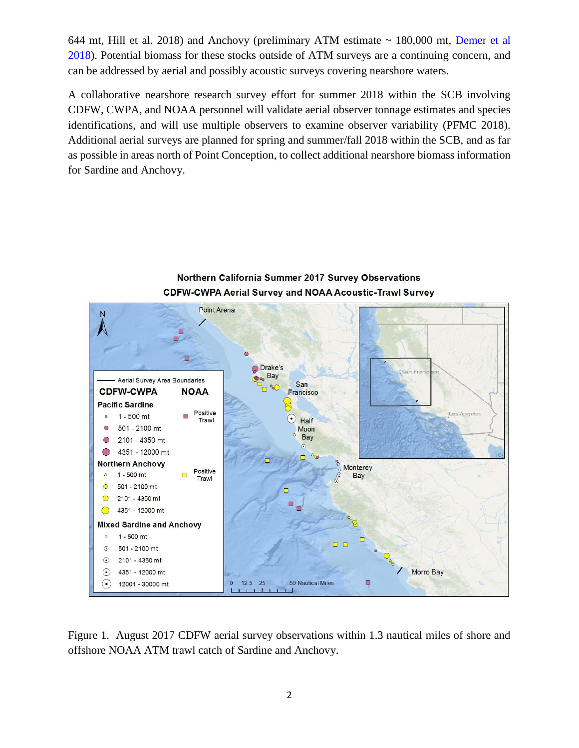644 mt, Hill et al. 2018) and Anchovy (preliminary ATM estimate  $\sim$  180,000 mt, Demer et al [2018\)](ftp://ftp.pcouncil.org/pub/2018 ATM Methodology Review/Supplemental PPTs and other materials/). Potential biomass for these stocks outside of ATM surveys are a continuing concern, and can be addressed by aerial and possibly acoustic surveys covering nearshore waters.

A collaborative nearshore research survey effort for summer 2018 within the SCB involving CDFW, CWPA, and NOAA personnel will validate aerial observer tonnage estimates and species identifications, and will use multiple observers to examine observer variability (PFMC 2018). Additional aerial surveys are planned for spring and summer/fall 2018 within the SCB, and as far as possible in areas north of Point Conception, to collect additional nearshore biomass information for Sardine and Anchovy.



## Northern California Summer 2017 Survey Observations **CDFW-CWPA Aerial Survey and NOAA Acoustic-Trawl Survey**

Figure 1. August 2017 CDFW aerial survey observations within 1.3 nautical miles of shore and offshore NOAA ATM trawl catch of Sardine and Anchovy.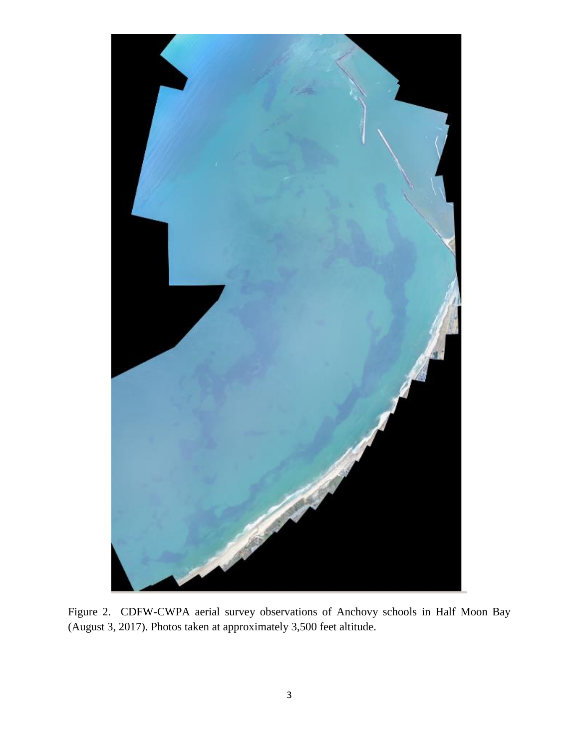

Figure 2. CDFW-CWPA aerial survey observations of Anchovy schools in Half Moon Bay (August 3, 2017). Photos taken at approximately 3,500 feet altitude.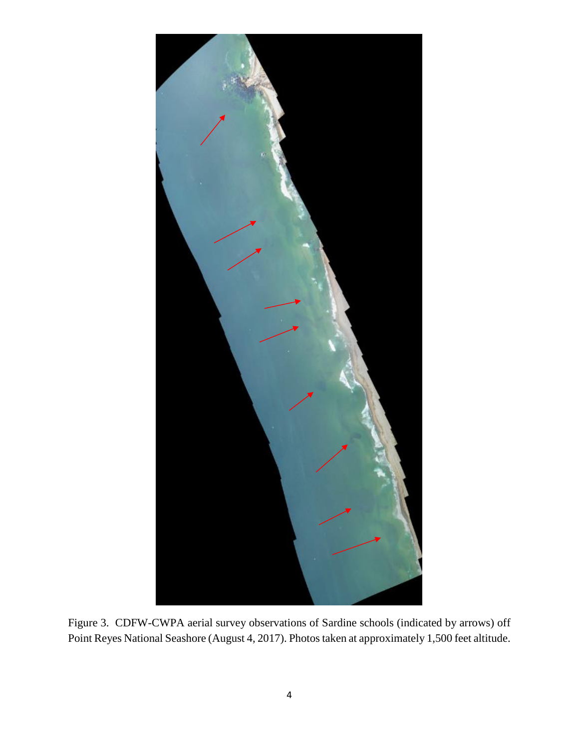

Figure 3. CDFW-CWPA aerial survey observations of Sardine schools (indicated by arrows) off Point Reyes National Seashore (August 4, 2017). Photos taken at approximately 1,500 feet altitude.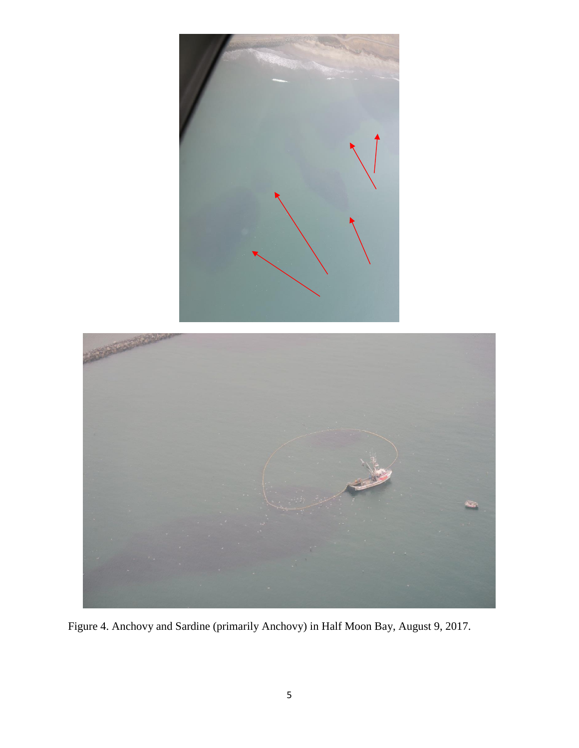

Figure 4. Anchovy and Sardine (primarily Anchovy) in Half Moon Bay, August 9, 2017.